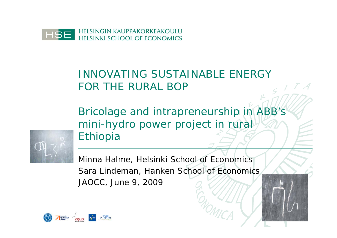

# INNOVATING SUSTAINABLE ENERGY FOR THE RURAL BOP

Bricolage and intrapreneurship in ABB's mini-hydro power project in rural Ethiopia



Minna Halme, Helsinki School of Economics Sara Lindeman, Hanken School of Economics JAOCC, June 9, 2009

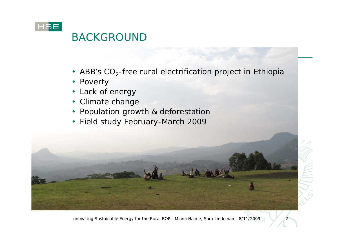

## BACKGROUND

- ABB's  $CO<sub>2</sub>$ -free rural electrification project in Ethiopia
- Poverty
- Lack of energy
- Climate change
- Population growth & deforestation
- Field study February-March 2009

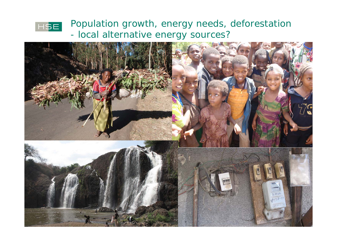

Population growth, energy needs, deforestation - local alternative energy sources?

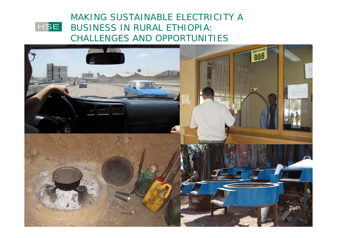#### MAKING SUSTAINABLE ELECTRICITY A **HSE** BUSINESS IN RURAL ETHIOPIA: CHALLENGES AND OPPORTUNITIES

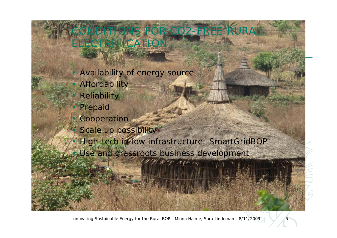OR CO2-FREE **LECTRIFICATION** 

Availability of energy source **Affordability Reliability Prepaid Cooperation** Scale up possibility • High-tech in low infrastructure: SmartGridBOP • Use and grassroots business development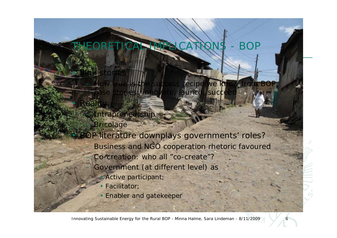### THEORETICAL IMPLICATIONS - BOP

e stories: innovate, launch, succe

- Intrapreneurship
- **Bricolage**

• Pink stories

• Reality

- P literature downplays governments' roles?
	- Business and NGO cooperation rhetoric favoured

recipe

- Co-creation: who all "co-create"?
	- Government (at different level) as
		- Active participant;
		- Facilitator;
		- Enabler and gatekeeper